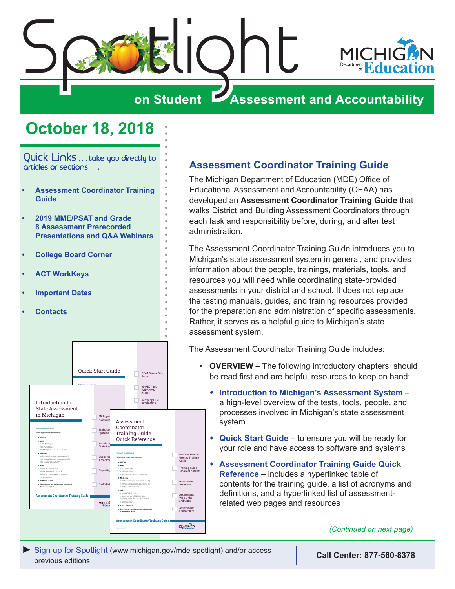<span id="page-0-0"></span>



# **on Student Assessment and Accountability**

# **October 18, 2018**

Quick Links . . . take you directly to articles or sections . . .

- **• Assessment Coordinator Training Guide**
- **• [2019 MME/PSAT and Grade](#page-1-0)  [8 Assessment Prerecorded](#page-1-0)  [Presentations and Q&A Webinars](#page-1-0)**
- **• [College Board Corner](#page-3-0)**
- **• [ACT WorkKeys](#page-5-0)**
- **• [Important Dates](#page-6-0)**
- **• [Contacts](#page-7-0)**



### **Assessment Coordinator Training Guide**

The Michigan Department of Education (MDE) Office of Educational Assessment and Accountability (OEAA) has developed an **Assessment Coordinator Training Guide** that walks District and Building Assessment Coordinators through each task and responsibility before, during, and after test administration.

The Assessment Coordinator Training Guide introduces you to Michigan's state assessment system in general, and provides information about the people, trainings, materials, tools, and resources you will need while coordinating state-provided assessments in your district and school. It does not replace the testing manuals, guides, and training resources provided for the preparation and administration of specific assessments. Rather, it serves as a helpful guide to Michigan's state assessment system.

The Assessment Coordinator Training Guide includes:

- **OVERVIEW** The following introductory chapters should be read first and are helpful resources to keep on hand:
	- **\* Introduction to Michigan's Assessment System** a high-level overview of the tests, tools, people, and processes involved in Michigan's state assessment system
	- **+ Quick Start Guide** to ensure you will be ready for your role and have access to software and systems
	- w **Assessment Coordinator Training Guide Quick Reference** – includes a hyperlinked table of contents for the training guide, a list of acronyms and definitions, and a hyperlinked list of assessmentrelated web pages and resources

*(Continued on next page)*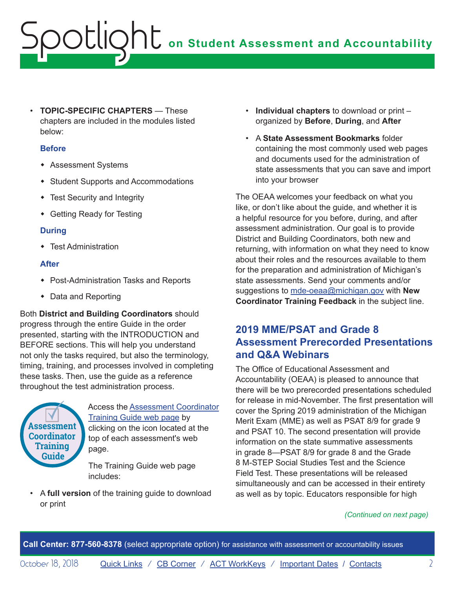<span id="page-1-0"></span>• **TOPIC-SPECIFIC CHAPTERS** — These chapters are included in the modules listed below:

#### **Before**

- **\*** Assessment Systems
- Student Supports and Accommodations
- Test Security and Integrity
- Getting Ready for Testing

#### **During**

• Test Administration

#### **After**

- Post-Administration Tasks and Reports
- Data and Reporting

Both **District and Building Coordinators** should progress through the entire Guide in the order presented, starting with the INTRODUCTION and BEFORE sections. This will help you understand not only the tasks required, but also the terminology, timing, training, and processes involved in completing these tasks. Then, use the guide as a reference throughout the test administration process.



Access the [Assessment Coordinator](https://www.michigan.gov/mde/0,4615,7-140-22709_70117-476290--,00.html)  [Training Guide web page](https://www.michigan.gov/mde/0,4615,7-140-22709_70117-476290--,00.html) by clicking on the icon located at the top of each assessment's web page.

The Training Guide web page includes:

• A **full version** of the training guide to download or print

- **Individual chapters** to download or print organized by **Before**, **During**, and **After**
- A **State Assessment Bookmarks** folder containing the most commonly used web pages and documents used for the administration of state assessments that you can save and import into your browser

The OEAA welcomes your feedback on what you like, or don't like about the guide, and whether it is a helpful resource for you before, during, and after assessment administration. Our goal is to provide District and Building Coordinators, both new and returning, with information on what they need to know about their roles and the resources available to them for the preparation and administration of Michigan's state assessments. Send your comments and/or suggestions to [mde-oeaa@michigan.gov](mailto:mde-oeaa%40michigan.gov?subject=New%20Coordinator%20Training%20Feedback) with **New Coordinator Training Feedback** in the subject line.

### **2019 MME/PSAT and Grade 8 Assessment Prerecorded Presentations and Q&A Webinars**

The Office of Educational Assessment and Accountability (OEAA) is pleased to announce that there will be two prerecorded presentations scheduled for release in mid-November. The first presentation will cover the Spring 2019 administration of the Michigan Merit Exam (MME) as well as PSAT 8/9 for grade 9 and PSAT 10. The second presentation will provide information on the state summative assessments in grade 8—PSAT 8/9 for grade 8 and the Grade 8 M-STEP Social Studies Test and the Science Field Test. These presentations will be released simultaneously and can be accessed in their entirety as well as by topic. Educators responsible for high

#### *(Continued on next page)*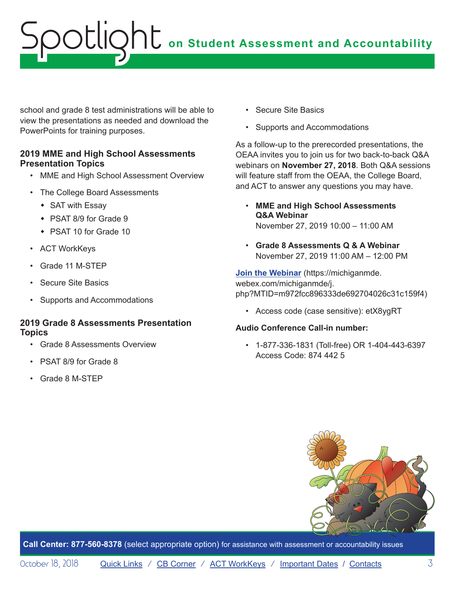school and grade 8 test administrations will be able to view the presentations as needed and download the PowerPoints for training purposes.

#### **2019 MME and High School Assessments Presentation Topics**

- MME and High School Assessment Overview
- The College Board Assessments
	- $\bullet$  SAT with Essay
	- $\cdot$  PSAT 8/9 for Grade 9
	- $\cdot$  PSAT 10 for Grade 10
- ACT WorkKeys
- Grade 11 M-STEP
- Secure Site Basics
- Supports and Accommodations

#### **2019 Grade 8 Assessments Presentation Topics**

- Grade 8 Assessments Overview
- PSAT 8/9 for Grade 8
- Grade 8 M-STEP
- Secure Site Basics
- Supports and Accommodations

As a follow-up to the prerecorded presentations, the OEAA invites you to join us for two back-to-back Q&A webinars on **November 27, 2018**. Both Q&A sessions will feature staff from the OEAA, the College Board, and ACT to answer any questions you may have.

- **MME and High School Assessments Q&A Webinar** November 27, 2019 10:00 – 11:00 AM
- **Grade 8 Assessments Q & A Webinar** November 27, 2019 11:00 AM – 12:00 PM

**[Join the Webinar](https://michiganmde.webex.com/michiganmde/j.php?MTID=m972fcc896333de692704026c31c159f4)** (https://michiganmde. webex.com/michiganmde/j. php?MTID=m972fcc896333de692704026c31c159f4)

• Access code (case sensitive): etX8ygRT

#### **Audio Conference Call-in number:**

• 1-877-336-1831 (Toll-free) OR 1-404-443-6397 Access Code: 874 442 5

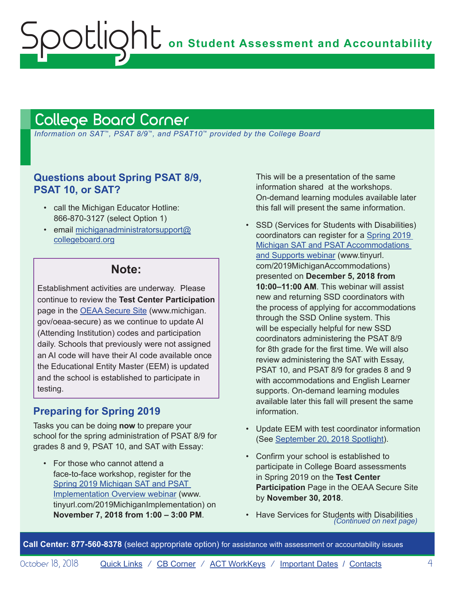# <span id="page-3-1"></span>College Board Corner

<span id="page-3-0"></span>ootlic

 *Information on SAT*™*, PSAT 8/9*™*, and PSAT10*™ *provided by the College Board*

### **Questions about Spring PSAT 8/9, PSAT 10, or SAT?**

- call the Michigan Educator Hotline: 866-870-3127 (select Option 1)
- email [michiganadministratorsupport@](mailto:michiganadministratorsupport%40collegeboard.org?subject=) [collegeboard.org](mailto:michiganadministratorsupport%40collegeboard.org?subject=)

# **Note:**

Establishment activities are underway. Please continue to review the **Test Center Participation** page in the [OEAA Secure Site](http://www.michigan.gov/oeaa-secure) (www.michigan. gov/oeaa-secure) as we continue to update AI (Attending Institution) codes and participation daily. Schools that previously were not assigned an AI code will have their AI code available once the Educational Entity Master (EEM) is updated and the school is established to participate in testing.

### **Preparing for Spring 2019**

Tasks you can be doing **now** to prepare your school for the spring administration of PSAT 8/9 for grades 8 and 9, PSAT 10, and SAT with Essay:

• For those who cannot attend a face-to-face workshop, register for the [Spring 2019 Michigan SAT and PSAT](http://www.tinyurl.com/2019MichiganImplementation)  [Implementation Overview webinar](http://www.tinyurl.com/2019MichiganImplementation) (www. tinyurl.com/2019MichiganImplementation) on **November 7, 2018 from 1:00 – 3:00 PM**.

This will be a presentation of the same information shared at the workshops. On-demand learning modules available later this fall will present the same information.

- SSD (Services for Students with Disabilities) coordinators can register for a [Spring 2019](http://www.tinyurl.com/2019MichiganAccommodations)  [Michigan SAT and PSAT Accommodations](http://www.tinyurl.com/2019MichiganAccommodations)  [and Supports webinar](http://www.tinyurl.com/2019MichiganAccommodations) (www.tinyurl. com/2019MichiganAccommodations) presented on **December 5, 2018 from 10:00–11:00 AM**. This webinar will assist new and returning SSD coordinators with the process of applying for accommodations through the SSD Online system. This will be especially helpful for new SSD coordinators administering the PSAT 8/9 for 8th grade for the first time. We will also review administering the SAT with Essay, PSAT 10, and PSAT 8/9 for grades 8 and 9 with accommodations and English Learner supports. On-demand learning modules available later this fall will present the same information.
- Update EEM with test coordinator information (See [September 20, 2018 Spotlight](https://www.michigan.gov/documents/mde/Spotlight_9-20-18_633930_7.pdf)).
- Confirm your school is established to participate in College Board assessments in Spring 2019 on the **Test Center Participation** Page in the OEAA Secure Site by **November 30, 2018**.
- Have Services for Students with Disabilities *(Continued on next page)*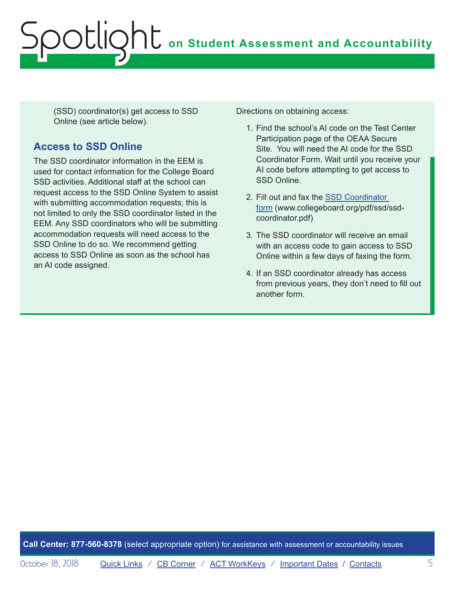(SSD) coordinator(s) get access to SSD Online (see article below).

# **Access to SSD Online**

The SSD coordinator information in the EEM is used for contact information for the College Board SSD activities. Additional staff at the school can request access to the SSD Online System to assist with submitting accommodation requests; this is not limited to only the SSD coordinator listed in the EEM. Any SSD coordinators who will be submitting accommodation requests will need access to the SSD Online to do so. We recommend getting access to SSD Online as soon as the school has an AI code assigned.

Directions on obtaining access:

- 1. Find the school's AI code on the Test Center Participation page of the OEAA Secure Site. You will need the AI code for the SSD Coordinator Form. Wait until you receive your AI code before attempting to get access to SSD Online.
- 2. Fill out and fax the [SSD Coordinator](http://www.collegeboard.org/pdf/ssd/ssd-coordinator.pdf)  [form](http://www.collegeboard.org/pdf/ssd/ssd-coordinator.pdf) (www.collegeboard.org/pdf/ssd/ssdcoordinator.pdf)
- 3. The SSD coordinator will receive an email with an access code to gain access to SSD Online within a few days of faxing the form.
- 4. If an SSD coordinator already has access from previous years, they don't need to fill out another form.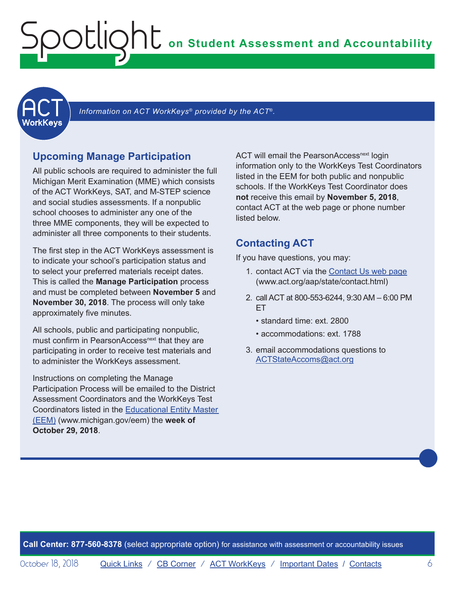<span id="page-5-1"></span><span id="page-5-0"></span>

Information on ACT WorkKeys<sup>®</sup> provided by the ACT<sup>®</sup>.

#### **Upcoming Manage Participation**

All public schools are required to administer the full Michigan Merit Examination (MME) which consists of the ACT WorkKeys, SAT, and M-STEP science and social studies assessments. If a nonpublic school chooses to administer any one of the three MME components, they will be expected to administer all three components to their students.

The first step in the ACT WorkKeys assessment is to indicate your school's participation status and to select your preferred materials receipt dates. This is called the **Manage Participation** process and must be completed between **November 5** and **November 30, 2018**. The process will only take approximately five minutes.

All schools, public and participating nonpublic, must confirm in PearsonAccess<sup>next</sup> that they are participating in order to receive test materials and to administer the WorkKeys assessment.

Instructions on completing the Manage Participation Process will be emailed to the District Assessment Coordinators and the WorkKeys Test Coordinators listed in the [Educational Entity Master](www.michigan.gov/EEM)  [\(EEM\)](www.michigan.gov/EEM) (www.michigan.gov/eem) the **week of October 29, 2018**.

ACT will email the PearsonAccess<sup>next</sup> login information only to the WorkKeys Test Coordinators listed in the EEM for both public and nonpublic schools. If the WorkKeys Test Coordinator does **not** receive this email by **November 5, 2018**, contact ACT at the web page or phone number listed below.

#### **Contacting ACT**

If you have questions, you may:

- 1. contact ACT via the [Contact Us web page](http://www.act.org/aap/state/contact.html) [\(www.act.org/aap/state/contact.html\)](www.act.org/aap/state/contact.html)
- 2. call ACT at 800-553-6244, 9:30 AM 6:00 PM ET
	- standard time: ext. 2800
	- accommodations: ext. 1788
- 3. email accommodations questions to [ACTStateAccoms@act.org](mailto:ACTStateAccoms%40act.org?subject=)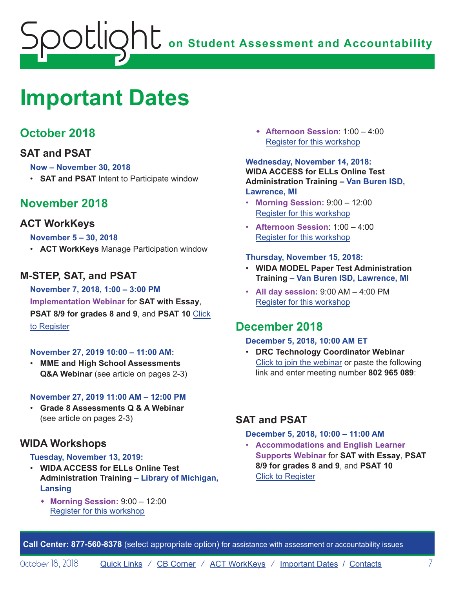# <span id="page-6-1"></span><span id="page-6-0"></span>**Important Dates**

# **October 2018**

### **SAT and PSAT**

#### **Now – November 30, 2018**

• **SAT and PSAT** Intent to Participate window

# **November 2018**

### **ACT WorkKeys**

#### **November 5 – 30, 2018**

• **ACT WorkKeys** Manage Participation window

# **M-STEP, SAT, and PSAT**

#### **November 7, 2018, 1:00 – 3:00 PM Implementation Webinar** for **SAT with Essay**, **PSAT 8/9 for grades 8 and 9**, and **PSAT 10** Click to Register

#### **November 27, 2019 10:00 – 11:00 AM:**

• **MME and High School Assessments Q&A Webinar** (see article on pages 2-3)

#### **November 27, 2019 11:00 AM – 12:00 PM**

• **Grade 8 Assessments Q & A Webinar** (see article on pages 2-3)

#### **WIDA Workshops**

#### **Tuesday, November 13, 2019:**

- **WIDA ACCESS for ELLs Online Test Administration Training – Library of Michigan, Lansing**
	- w **Morning Session:** 9:00 12:00 Register for this workshop

w **Afternoon Session**: 1:00 – 4:00 Register for this workshop

#### **Wednesday, November 14, 2018: WIDA ACCESS for ELLs Online Test Administration Training – Van Buren ISD, Lawrence, MI**

- **Morning Session:** 9:00 12:00 Register for this workshop
- **Afternoon Session**: 1:00 4:00 Register for this workshop

#### **Thursday, November 15, 2018:**

- **WIDA MODEL Paper Test Administration Training – Van Buren ISD, Lawrence, MI**
- **All day session:** 9:00 AM 4:00 PM Register for this workshop

# **December 2018**

#### **December 5, 2018, 10:00 AM ET**

• **DRC Technology Coordinator Webinar** Click to join the webinar or paste the following link and enter meeting number **802 965 089**:

### **SAT and PSAT**

#### **December 5, 2018, 10:00 – 11:00 AM**

• **Accommodations and English Learner Supports Webinar** for **SAT with Essay**, **PSAT 8/9 for grades 8 and 9**, and **PSAT 10** Click to Register